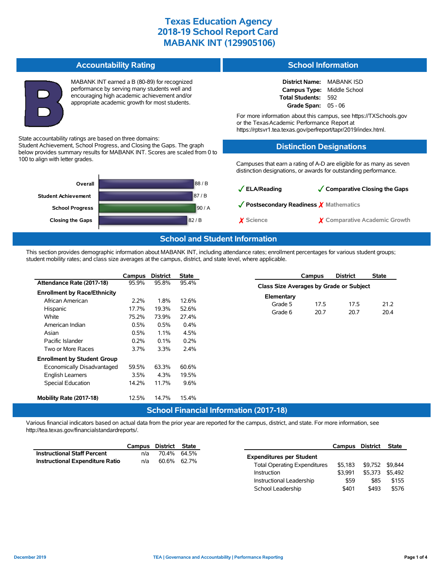**Accountability Rating** MABANK INT earned a B (80-89) for recognized performance by serving many students well and encouraging high academic achievement and/or appropriate academic growth for most students. State accountability ratings are based on three domains: Student Achievement, School Progress, and Closing the Gaps. The graph below provides summary results for MABANK INT. Scores are scaled from 0 to 100 to align with letter grades. 88 / B 87 / B 90 / A **Closing the Gaps** 82 / B **School Progress Student Achievement Overall School Information District Name:** MABANK ISD **Campus Type:** Middle School **Total Students:** 592 **Grade Span:** 05 - 06 For more information about this campus, see https://TXSchools.gov or the TexasAcademic Performance Report at https://rptsvr1.tea.texas.gov/perfreport/tapr/2019/index.html. **Distinction Designations** Campuses that earn a rating of A-D are eligible for as many as seven distinction designations, or awards for outstanding performance. ✓**ELA/Reading** ✓**Comparative Closing the Gaps** ✓**Postsecondary Readiness** ✗ **Mathematics** ✗ **Science** ✗ **Comparative Academic Growth**

#### **School and Student Information**

This section provides demographic information about MABANK INT, including attendance rates; enrollment percentages for various student groups; student mobility rates; and class size averages at the campus, district, and state level, where applicable.

|                                     | Campus  | <b>District</b> | <b>State</b> |            | Campus                                         | <b>District</b> | <b>State</b> |  |  |  |  |
|-------------------------------------|---------|-----------------|--------------|------------|------------------------------------------------|-----------------|--------------|--|--|--|--|
| Attendance Rate (2017-18)           | 95.9%   | 95.8%           | 95.4%        |            | <b>Class Size Averages by Grade or Subject</b> |                 |              |  |  |  |  |
| <b>Enrollment by Race/Ethnicity</b> |         |                 |              | Elementary |                                                |                 |              |  |  |  |  |
| African American                    | 2.2%    | 1.8%            | 12.6%        | Grade 5    | 17.5                                           | 17.5            | 21.2         |  |  |  |  |
| Hispanic                            | 17.7%   | 19.3%           | 52.6%        | Grade 6    |                                                | 20.7            | 20.4         |  |  |  |  |
| White                               | 75.2%   | 73.9%           | 27.4%        |            | 20.7                                           |                 |              |  |  |  |  |
| American Indian                     | 0.5%    | 0.5%            | 0.4%         |            |                                                |                 |              |  |  |  |  |
| Asian                               | 0.5%    | 1.1%            | 4.5%         |            |                                                |                 |              |  |  |  |  |
| Pacific Islander                    | $0.2\%$ | 0.1%            | 0.2%         |            |                                                |                 |              |  |  |  |  |
| Two or More Races                   | 3.7%    | $3.3\%$         | 2.4%         |            |                                                |                 |              |  |  |  |  |
| <b>Enrollment by Student Group</b>  |         |                 |              |            |                                                |                 |              |  |  |  |  |
| Economically Disadvantaged          | 59.5%   | 63.3%           | 60.6%        |            |                                                |                 |              |  |  |  |  |
| <b>English Learners</b>             | 3.5%    | 4.3%            | 19.5%        |            |                                                |                 |              |  |  |  |  |
| <b>Special Education</b>            | 14.2%   | 11.7%           | 9.6%         |            |                                                |                 |              |  |  |  |  |
| Mobility Rate (2017-18)             | 12.5%   | 14.7%           | 15.4%        |            |                                                |                 |              |  |  |  |  |

# **School Financial Information (2017-18)**

Various financial indicators based on actual data from the prior year are reported for the campus, district, and state. For more information, see http://tea.texas.gov/financialstandardreports/.

|                                        | Campus | District | State       |                                     |         | Campus District State |  |
|----------------------------------------|--------|----------|-------------|-------------------------------------|---------|-----------------------|--|
| <b>Instructional Staff Percent</b>     | n/a    |          | 70.4% 64.5% | <b>Expenditures per Student</b>     |         |                       |  |
| <b>Instructional Expenditure Ratio</b> | n/a    |          | 60.6% 62.7% | <b>Total Operating Expenditures</b> | \$5,183 | \$9,752 \$9,844       |  |
|                                        |        |          |             | Instruction                         | \$3.991 | \$5.373 \$5.492       |  |

Instructional Leadership \$59 \$85 \$155 School Leadership  $$401$  \$493 \$576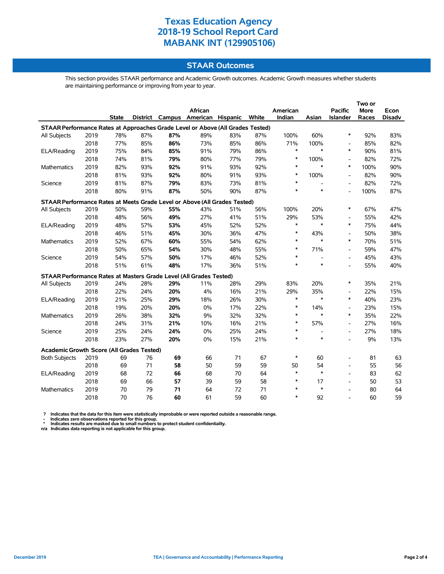### **STAAR Outcomes**

This section provides STAAR performance and Academic Growth outcomes. Academic Growth measures whether students are maintaining performance or improving from year to year.

|                                                                                |      |              |     |     |                                   |     |       |          |                |                          | Two or      |               |  |
|--------------------------------------------------------------------------------|------|--------------|-----|-----|-----------------------------------|-----|-------|----------|----------------|--------------------------|-------------|---------------|--|
|                                                                                |      |              |     |     | African                           |     |       | American |                | <b>Pacific</b>           | <b>More</b> | Econ          |  |
|                                                                                |      | <b>State</b> |     |     | District Campus American Hispanic |     | White | Indian   | Asian          | Islander                 | Races       | <b>Disadv</b> |  |
| STAAR Performance Rates at Approaches Grade Level or Above (All Grades Tested) |      |              |     |     |                                   |     |       |          |                |                          |             |               |  |
| All Subjects                                                                   | 2019 | 78%          | 87% | 87% | 89%                               | 83% | 87%   | 100%     | 60%            | $\ast$                   | 92%         | 83%           |  |
|                                                                                | 2018 | 77%          | 85% | 86% | 73%                               | 85% | 86%   | 71%      | 100%           | $\overline{\phantom{a}}$ | 85%         | 82%           |  |
| ELA/Reading                                                                    | 2019 | 75%          | 84% | 85% | 91%                               | 79% | 86%   | $\ast$   | $\ast$         | $\ast$                   | 90%         | 81%           |  |
|                                                                                | 2018 | 74%          | 81% | 79% | 80%                               | 77% | 79%   | $\ast$   | 100%           | $\overline{\phantom{a}}$ | 82%         | 72%           |  |
| <b>Mathematics</b>                                                             | 2019 | 82%          | 93% | 92% | 91%                               | 93% | 92%   | $\ast$   | $\ast$         | $\ast$                   | 100%        | 90%           |  |
|                                                                                | 2018 | 81%          | 93% | 92% | 80%                               | 91% | 93%   | $\ast$   | 100%           | $\overline{\phantom{a}}$ | 82%         | 90%           |  |
| Science                                                                        | 2019 | 81%          | 87% | 79% | 83%                               | 73% | 81%   | $\ast$   | $\overline{a}$ | Ĭ.                       | 82%         | 72%           |  |
|                                                                                | 2018 | 80%          | 91% | 87% | 50%                               | 90% | 87%   | $\ast$   | $\ast$         |                          | 100%        | 87%           |  |
| STAAR Performance Rates at Meets Grade Level or Above (All Grades Tested)      |      |              |     |     |                                   |     |       |          |                |                          |             |               |  |
| All Subjects                                                                   | 2019 | 50%          | 59% | 55% | 43%                               | 51% | 56%   | 100%     | 20%            | $\ast$                   | 67%         | 47%           |  |
|                                                                                | 2018 | 48%          | 56% | 49% | 27%                               | 41% | 51%   | 29%      | 53%            | $\overline{\phantom{a}}$ | 55%         | 42%           |  |
| ELA/Reading                                                                    | 2019 | 48%          | 57% | 53% | 45%                               | 52% | 52%   | $\ast$   | $\ast$         | $\ast$                   | 75%         | 44%           |  |
|                                                                                | 2018 | 46%          | 51% | 45% | 30%                               | 36% | 47%   | $\ast$   | 43%            | $\overline{\phantom{a}}$ | 50%         | 38%           |  |
| <b>Mathematics</b>                                                             | 2019 | 52%          | 67% | 60% | 55%                               | 54% | 62%   | $\ast$   | $\ast$         | $\ast$                   | 70%         | 51%           |  |
|                                                                                | 2018 | 50%          | 65% | 54% | 30%                               | 48% | 55%   | $\ast$   | 71%            | $\blacksquare$           | 59%         | 47%           |  |
| Science                                                                        | 2019 | 54%          | 57% | 50% | 17%                               | 46% | 52%   | $\ast$   |                | $\overline{\phantom{a}}$ | 45%         | 43%           |  |
|                                                                                | 2018 | 51%          | 61% | 48% | 17%                               | 36% | 51%   | $\ast$   | $\ast$         | $\overline{a}$           | 55%         | 40%           |  |
| STAAR Performance Rates at Masters Grade Level (All Grades Tested)             |      |              |     |     |                                   |     |       |          |                |                          |             |               |  |
| All Subjects                                                                   | 2019 | 24%          | 28% | 29% | 11%                               | 28% | 29%   | 83%      | 20%            | $\ast$                   | 35%         | 21%           |  |
|                                                                                | 2018 | 22%          | 24% | 20% | 4%                                | 16% | 21%   | 29%      | 35%            | $\overline{\phantom{a}}$ | 22%         | 15%           |  |
| ELA/Reading                                                                    | 2019 | 21%          | 25% | 29% | 18%                               | 26% | 30%   | $\ast$   | $\ast$         | $\ast$                   | 40%         | 23%           |  |
|                                                                                | 2018 | 19%          | 20% | 20% | 0%                                | 17% | 22%   | $\ast$   | 14%            | $\overline{\phantom{a}}$ | 23%         | 15%           |  |
| Mathematics                                                                    | 2019 | 26%          | 38% | 32% | 9%                                | 32% | 32%   | $\ast$   | $\ast$         | $\ast$                   | 35%         | 22%           |  |
|                                                                                | 2018 | 24%          | 31% | 21% | 10%                               | 16% | 21%   | $\ast$   | 57%            | $\overline{\phantom{a}}$ | 27%         | 16%           |  |
| Science                                                                        | 2019 | 25%          | 24% | 24% | 0%                                | 25% | 24%   | $\ast$   |                | Ĭ.                       | 27%         | 18%           |  |
|                                                                                | 2018 | 23%          | 27% | 20% | 0%                                | 15% | 21%   | $\ast$   | $\ast$         | $\overline{\phantom{a}}$ | 9%          | 13%           |  |
| Academic Growth Score (All Grades Tested)                                      |      |              |     |     |                                   |     |       |          |                |                          |             |               |  |
| <b>Both Subjects</b>                                                           | 2019 | 69           | 76  | 69  | 66                                | 71  | 67    | $\ast$   | 60             | $\overline{\phantom{a}}$ | 81          | 63            |  |
|                                                                                | 2018 | 69           | 71  | 58  | 50                                | 59  | 59    | 50       | 54             | $\overline{\phantom{a}}$ | 55          | 56            |  |
| ELA/Reading                                                                    | 2019 | 68           | 72  | 66  | 68                                | 70  | 64    | $\ast$   | $\ast$         | $\overline{\phantom{a}}$ | 83          | 62            |  |
|                                                                                | 2018 | 69           | 66  | 57  | 39                                | 59  | 58    | $\ast$   | 17             | $\overline{\phantom{a}}$ | 50          | 53            |  |
| Mathematics                                                                    | 2019 | 70           | 79  | 71  | 64                                | 72  | 71    | $\ast$   | $\ast$         | $\overline{\phantom{a}}$ | 80          | 64            |  |
|                                                                                | 2018 | 70           | 76  | 60  | 61                                | 59  | 60    | $\ast$   | 92             | $\blacksquare$           | 60          | 59            |  |

? Indicates that the data for this item were statistically improbable or were reported outside a reasonable range.<br>- Indicates zero observations reported for this group.<br>\* Indicates results are masked due to small numbers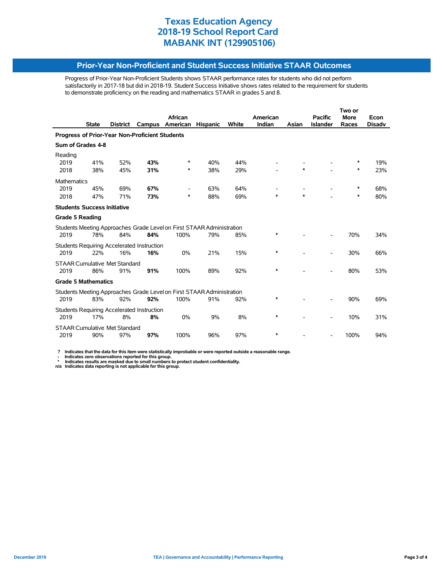#### **Prior-Year Non-Proficient and Student Success Initiative STAAR Outcomes**

Progress of Prior-Year Non-Proficient Students shows STAAR performance rates for students who did not perform satisfactorily in 2017-18 but did in 2018-19. Student Success Initiative shows rates related to the requirement for students to demonstrate proficiency on the reading and mathematics STAAR in grades 5 and 8.

|                                                                       |                   |                                                 | African                                                          |                                                                                                                   |                   | American                                                                                   |        | <b>Pacific</b>  | <b>More</b> | Econ                         |  |  |
|-----------------------------------------------------------------------|-------------------|-------------------------------------------------|------------------------------------------------------------------|-------------------------------------------------------------------------------------------------------------------|-------------------|--------------------------------------------------------------------------------------------|--------|-----------------|-------------|------------------------------|--|--|
| <b>State</b>                                                          | <b>District</b>   | Campus                                          | American                                                         | <b>Hispanic</b>                                                                                                   | <b>White</b>      | Indian                                                                                     | Asian  | <b>Islander</b> | Races       | <b>Disadv</b>                |  |  |
| Progress of Prior-Year Non-Proficient Students                        |                   |                                                 |                                                                  |                                                                                                                   |                   |                                                                                            |        |                 |             |                              |  |  |
| Sum of Grades 4-8                                                     |                   |                                                 |                                                                  |                                                                                                                   |                   |                                                                                            |        |                 |             |                              |  |  |
|                                                                       |                   |                                                 |                                                                  |                                                                                                                   |                   |                                                                                            |        |                 |             |                              |  |  |
|                                                                       |                   |                                                 |                                                                  |                                                                                                                   |                   |                                                                                            |        |                 |             | 19%                          |  |  |
|                                                                       |                   |                                                 |                                                                  |                                                                                                                   |                   |                                                                                            |        |                 |             | 23%                          |  |  |
| <b>Mathematics</b>                                                    |                   |                                                 |                                                                  |                                                                                                                   |                   |                                                                                            |        |                 |             |                              |  |  |
| 45%                                                                   | 69%               |                                                 |                                                                  | 63%                                                                                                               | 64%               |                                                                                            |        |                 | ∗           | 68%                          |  |  |
| 47%                                                                   | 71%               | 73%                                             | ∗                                                                | 88%                                                                                                               | 69%               | $\ast$                                                                                     | $\ast$ |                 | $\ast$      | 80%                          |  |  |
| <b>Students Success Initiative</b>                                    |                   |                                                 |                                                                  |                                                                                                                   |                   |                                                                                            |        |                 |             |                              |  |  |
| <b>Grade 5 Reading</b>                                                |                   |                                                 |                                                                  |                                                                                                                   |                   |                                                                                            |        |                 |             |                              |  |  |
|                                                                       |                   |                                                 |                                                                  |                                                                                                                   |                   |                                                                                            |        |                 |             |                              |  |  |
| 78%                                                                   | 84%               | 84%                                             | 100%                                                             | 79%                                                                                                               | 85%               | *                                                                                          |        |                 | 70%         | 34%                          |  |  |
|                                                                       |                   |                                                 |                                                                  |                                                                                                                   |                   |                                                                                            |        |                 |             |                              |  |  |
| 22%                                                                   | 16%               | 16%                                             | 0%                                                               | 21%                                                                                                               | 15%               | $\ast$                                                                                     |        |                 | 30%         | 66%                          |  |  |
|                                                                       |                   |                                                 |                                                                  |                                                                                                                   |                   |                                                                                            |        |                 |             |                              |  |  |
| 86%                                                                   | 91%               | 91%                                             | 100%                                                             | 89%                                                                                                               | 92%               | $\ast$                                                                                     |        |                 | 80%         | 53%                          |  |  |
|                                                                       |                   |                                                 |                                                                  |                                                                                                                   |                   |                                                                                            |        |                 |             |                              |  |  |
| Students Meeting Approaches Grade Level on First STAAR Administration |                   |                                                 |                                                                  |                                                                                                                   |                   |                                                                                            |        |                 |             |                              |  |  |
|                                                                       |                   |                                                 |                                                                  |                                                                                                                   |                   |                                                                                            |        |                 |             | 69%                          |  |  |
|                                                                       |                   |                                                 |                                                                  |                                                                                                                   |                   |                                                                                            |        |                 |             |                              |  |  |
| 17%                                                                   | 8%                | 8%                                              | 0%                                                               | 9%                                                                                                                | 8%                | $\ast$                                                                                     |        |                 | 10%         | 31%                          |  |  |
| <b>STAAR Cumulative Met Standard</b>                                  |                   |                                                 |                                                                  |                                                                                                                   |                   |                                                                                            |        |                 |             |                              |  |  |
| 90%                                                                   | 97%               | 97%                                             | 100%                                                             | 96%                                                                                                               | 97%               | *                                                                                          |        |                 | 100%        | 94%                          |  |  |
|                                                                       | 41%<br>38%<br>83% | 52%<br>45%<br><b>Grade 5 Mathematics</b><br>92% | 43%<br>31%<br>67%<br><b>STAAR Cumulative Met Standard</b><br>92% | ∗<br>*<br><b>Students Requiring Accelerated Instruction</b><br>100%<br>Students Requiring Accelerated Instruction | 40%<br>38%<br>91% | 44%<br>29%<br>Students Meeting Approaches Grade Level on First STAAR Administration<br>92% | $\ast$ | $\ast$          |             | Two or<br>∗<br>$\ast$<br>90% |  |  |

 **? Indicates that the data for this item were statistically improbable or were reported outside a reasonable range.**

- Indicates zero observations reported for this group.<br>\* Indicates results are masked due to small numbers to protect student confidentiality.<br>n/a Indicates data reporting is not applicable for this group.

l,